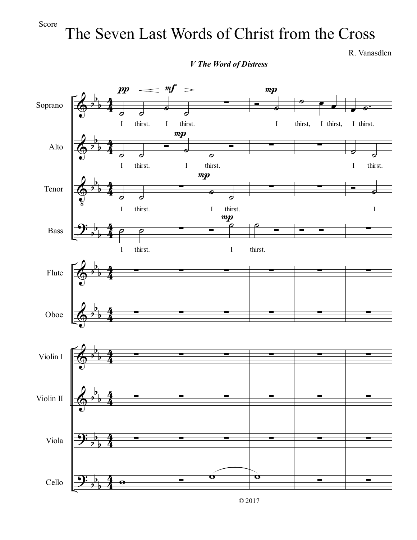## The Seven Last Words of Christ from the Cross

R. Vanasdlen

## *V The Word of Distress*

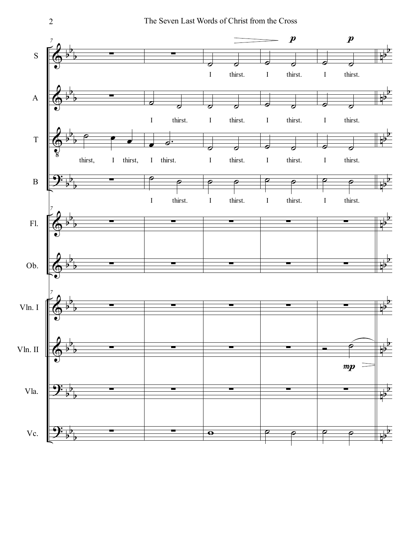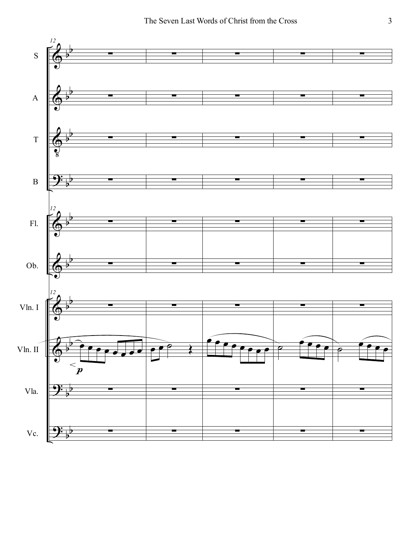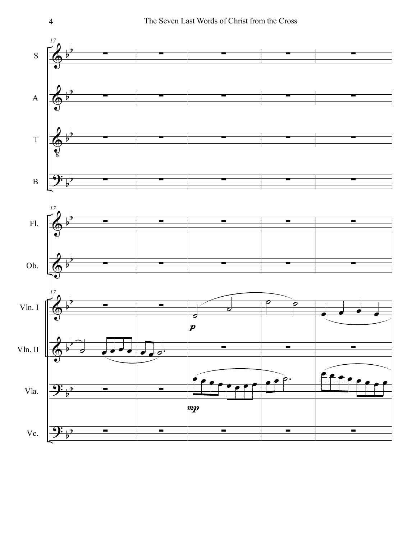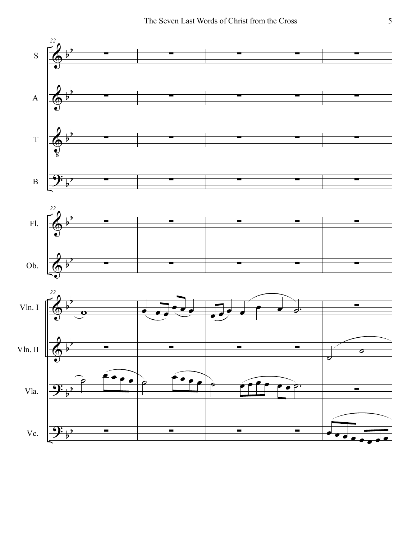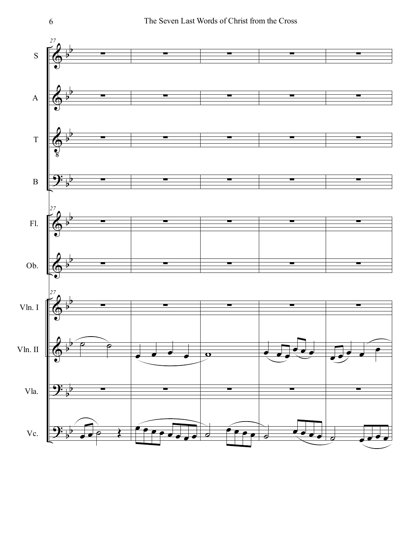